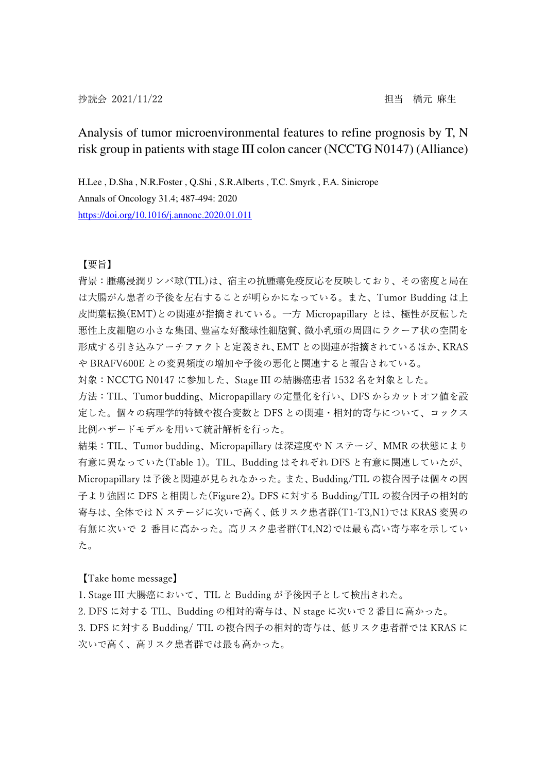## Analysis of tumor microenvironmental features to refine prognosis by T, N risk group in patients with stage III colon cancer (NCCTG N0147) (Alliance)

H.Lee , D.Sha , N.R.Foster , Q.Shi , S.R.Alberts , T.C. Smyrk , F.A. Sinicrope Annals of Oncology 31.4; 487-494: 2020 https://doi.org/10.1016/j.annonc.2020.01.011

## 【要旨】

背景:腫瘍浸潤リンパ球(TIL)は、宿主の抗腫瘍免疫反応を反映しており、その密度と局在 は大腸がん患者の予後を左右することが明らかになっている。また、Tumor Budding は上 皮間葉転換(EMT)との関連が指摘されている。一方 Micropapillary とは、極性が反転した 悪性上皮細胞の小さな集団、豊富な好酸球性細胞質、微小乳頭の周囲にラクーア状の空間を 形成する引き込みアーチファクトと定義され、EMT との関連が指摘されているほか、KRAS や BRAFV600E との変異頻度の増加や予後の悪化と関連すると報告されている。

対象:NCCTG N0147 に参加した、Stage III の結腸癌患者 1532 名を対象とした。

方法:TIL、Tumor budding、Micropapillary の定量化を行い、DFS からカットオフ値を設 定した。個々の病理学的特徴や複合変数と DFS との関連・相対的寄与について、コックス 比例ハザードモデルを用いて統計解析を行った。

結果:TIL、Tumor budding、Micropapillary は深達度や N ステージ、MMR の状態により 有意に異なっていた(Table 1)。TIL、Budding はそれぞれ DFS と有意に関連していたが、 Micropapillary は予後と関連が見られなかった。また、Budding/TIL の複合因子は個々の因 子より強固に DFS と相関した(Figure 2)。DFS に対する Budding/TIL の複合因子の相対的 寄与は、全体では N ステージに次いで高く、低リスク患者群(T1-T3,N1)では KRAS 変異の 有無に次いで 2 番目に高かった。高リスク患者群(T4,N2)では最も高い寄与率を示してい た。

【Take home message】

1. Stage III 大腸癌において、TIL と Budding が予後因子として検出された。

2. DFS に対する TIL、Budding の相対的寄与は、N stage に次いで 2 番目に高かった。

3. DFS に対する Budding/ TIL の複合因子の相対的寄与は、低リスク患者群では KRAS に 次いで高く、高リスク患者群では最も高かった。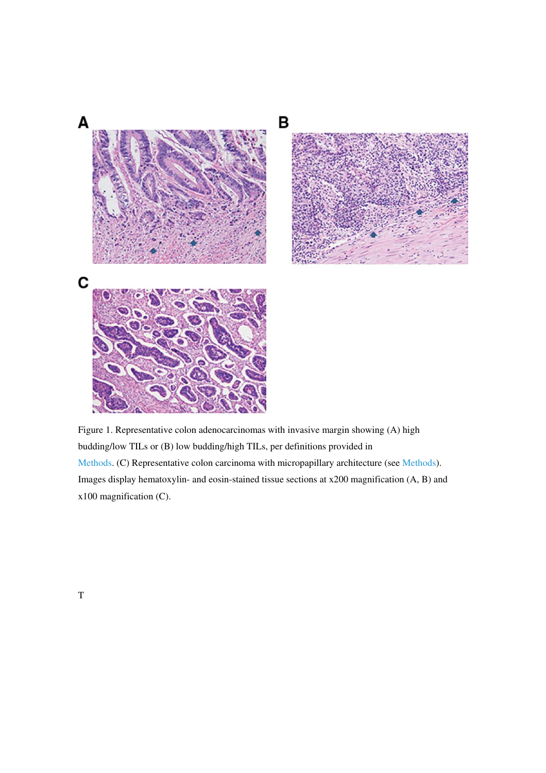

Figure 1. Representative colon adenocarcinomas with invasive margin showing (A) high budding/low TILs or (B) low budding/high TILs, per definitions provided in Methods. (C) Representative colon carcinoma with micropapillary architecture (see Methods). Images display hematoxylin- and eosin-stained tissue sections at x200 magnification (A, B) and x100 magnification (C).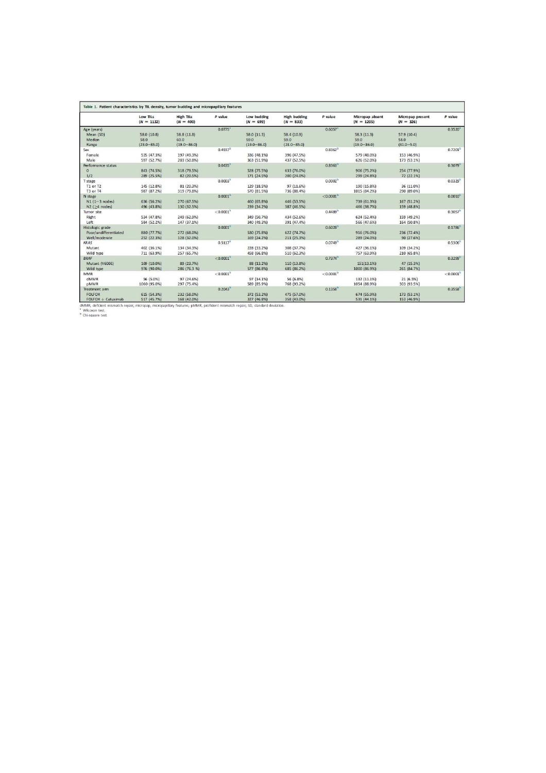|                       | Low TILs<br>$(N = 1132)$ | <b>High TiLs</b><br>$(N = 400)$ | P value                 | Low budding<br>$(N = 699)$ | <b>High budding</b><br>$(N = 833)$ | P value                 | Micropap absent<br>$(N = 1205)$ | Micropap present<br>$(N = 326)$ | P value               |
|-----------------------|--------------------------|---------------------------------|-------------------------|----------------------------|------------------------------------|-------------------------|---------------------------------|---------------------------------|-----------------------|
| Age (years)           |                          |                                 | $0.0775$ <sup>=</sup>   |                            |                                    | $0.6057$ <sup>2</sup>   |                                 |                                 | $0.3520$ <sup>*</sup> |
| Mean (SD)             | 58.0 (10.8)              | 58.8(11.8)                      |                         | 58.0(11.3)                 | 58.4 (10.9)                        |                         | 58.3 (11.3)                     | 57.9 (10.4)                     |                       |
| Median                | 58.0                     | 60.0                            |                         | 59.0                       | 59.0                               |                         | 59.0                            | 58.0                            |                       |
| Range                 | $(23.0 - 85.0)$          | $(19.0 - 86.0)$                 |                         | $(19.0 - 86.0)$            | $(23.0 - 85.0)$                    |                         | $(19.0 - 86.0)$                 | $(31.0 - 5.0)$                  |                       |
| Sex                   |                          |                                 | 0.4937 <sup>h</sup>     |                            |                                    | 0.8362 <sup>b</sup>     |                                 |                                 | 0.7201 <sup>b</sup>   |
| Female                | 535 (47.3%)              | 197 (49.3%)                     |                         | 336 (48.1%)                | 396 (47.5%)                        |                         | 579 (48.0%)                     | 153 (46.9%)                     |                       |
| Male                  | 597 (52.7%)              | 203 (50.8%)                     |                         | 363 (51.9%)                | 437 (52.5%)                        |                         | 626 (52.0%)                     | 173 (53.1%)                     |                       |
| Performance status    |                          |                                 | 0.0435                  |                            |                                    | 0.8363                  |                                 |                                 | 0.3079 <sup>b</sup>   |
| $\Omega$              | 843 (74.5%)              | 318 (79.5%)                     |                         | 528 (75.5%)                | 633 (76.0%)                        |                         | 906 (75.2%)                     | 254 (77.9%)                     |                       |
| 1/2                   | 289 (25.5%)              | 82 (20.5%)                      |                         | 171 (24.5%)                | 200 (24.0%)                        |                         | 299 (24.8%)                     | 72 (22.1%)                      |                       |
| T stage               |                          |                                 | 0.0003 <sup>b</sup>     |                            |                                    | 0.0002 <sup>b</sup>     |                                 |                                 | 0.0329 <sup>b</sup>   |
| T1 or T2              | 145 (12.8%)              | 81 (20.3%)                      |                         | 129 (18.5%)                | 97 (11.6%)                         |                         | 190 (15.8%)                     | 36 (11.0%)                      |                       |
| T3 or T4              | 987 (87.2%)              | 319 (79.8%)                     |                         | 570 (81.5%)                | 736 (88.4%)                        |                         | 1015 (84.2%)                    | 290 (89.0%)                     |                       |
| N stage               |                          |                                 | 0.0001 <sup>h</sup>     |                            |                                    | $< 0.0001$ <sup>b</sup> |                                 |                                 | $0.0010^{h}$          |
| $N1(1-3$ nodes)       | 636 (56.2%)              | 270 (67.5%)                     |                         | 460 (65.8%)                | 446 (53.5%)                        |                         | 739 (61.3%)                     | 167 (51.2%)                     |                       |
| N2 $($ $>4$ nodes)    | 496 (43.8%)              | 130 (32.5%)                     |                         | 239 (34.2%)                | 387 (46.5%)                        |                         | 466 (38.7%)                     | 159 (48.8%)                     |                       |
| Tumor site            |                          |                                 | $< 0.0001$ <sup>b</sup> |                            |                                    | 0.4489 <sup>b</sup>     |                                 |                                 | 0.3057 <sup>b</sup>   |
| Right                 | 534 (47.8%)              | 249 (62.9%)                     |                         | 349 (50.7%)                | 434 (52.6%)                        |                         | 624 (52.4%)                     | 159 (49.2%)                     |                       |
| Left                  | 584 (52.2%)              | 147 (37.1%)                     |                         | 340 (49.3%)                | 391 (47.4%)                        |                         | 566 (47.6%)                     | 164 (50.8%)                     |                       |
| Histologic grade      |                          |                                 | 0.0001 <sup>b</sup>     |                            |                                    | 0.6028                  |                                 |                                 | 0.1786                |
| Poor/undifferentiated | 880 (77.7%)              | 272 (68.0%)                     |                         | 530 (75.8%)                | 622 (74.7%)                        |                         | 916 (76.0%)                     | 236 (72.4%)                     |                       |
| Well/moderate         | 252 (22.3%)              | 128 (32.0%)                     |                         | 169 (24.2%)                | 211 (25.3%)                        |                         | 289 (24.0%)                     | 90 (27.6%)                      |                       |
| KRAS                  |                          |                                 | 0.5117 <sup>b</sup>     |                            |                                    | 0.0749 <sup>b</sup>     |                                 |                                 | 0.5306 <sup>b</sup>   |
| Mutant                | 402 (36.1%)              | 134 (34.3%)                     |                         | 228 (33.2%)                | 308 (37.7%)                        |                         | 427 (36.1%)                     | 109 (34.2%)                     |                       |
| Wild type             | 711 (63.9%)              | 257 (65.7%)                     |                         | 458 (66.8%)                |                                    |                         | 757 (63.9%)                     | 210 (65.8%)                     |                       |
| <b>BRAF</b>           |                          |                                 | < 0.0001                |                            | 510 (62.3%)                        | 0.7374 <sup>b</sup>     |                                 |                                 | 0.3299 <sup>b</sup>   |
|                       |                          |                                 |                         |                            |                                    |                         |                                 |                                 |                       |
| Mutant (V600E)        | 109 (10.0%)              | 89 (23.7%)                      |                         | 88 (13.2%)                 | 110 (13.8%)                        |                         | 151(13.1%)                      | 47 (15.3%)                      |                       |
| Wild type             | 976 (90.0%)              | 286 (76.3 %)                    |                         | 577 (86.8%)                | 685 (86.2%)                        |                         | 1000 (86.9%)                    | 261 (84.7%)                     |                       |
| MMR                   |                          |                                 | $< 0.0001$ <sup>b</sup> |                            |                                    | < 0.0001 <sup>b</sup>   |                                 |                                 | < 0.0001 <sup>b</sup> |
| dMMR                  | 56 (5.0%)                | 97 (24.6%)                      |                         | 97 (14.1%)                 | 56 (6.8%)                          |                         | 132 (11.1%)                     | 21(6.5%)                        |                       |
| <b>pMMR</b>           | 1060 (95.0%)             | 297 (75.4%)                     |                         | 589 (85.9%)                | 768 (93.2%)                        |                         | 1054 (88.9%)                    | 303 (93.5%)                     |                       |
| Treatment arm         |                          |                                 | 0.2043 <sup>h</sup>     |                            |                                    | $0.1358$ <sup>h</sup>   |                                 |                                 | 0.3558                |
| <b>FOLFOX</b>         | 615 (54.3%)              | 232 (58.0%)                     |                         | 372 (53.2%)                | 475 (57.0%)                        |                         | 674 (55.9%)                     | 173 (53.1%)                     |                       |
| $FOLFOX + Cetuximab$  | 517 (45.7%)              | 168 (42.0%)                     |                         | 327 (46.8%)                | 358 (43.0%)                        |                         | 531 (44.1%)                     | 153 (46.9%)                     |                       |

dMMR, deficient mi<br><sup>a</sup> Wilcoxon test.<br><sup>b</sup> Chi-square test.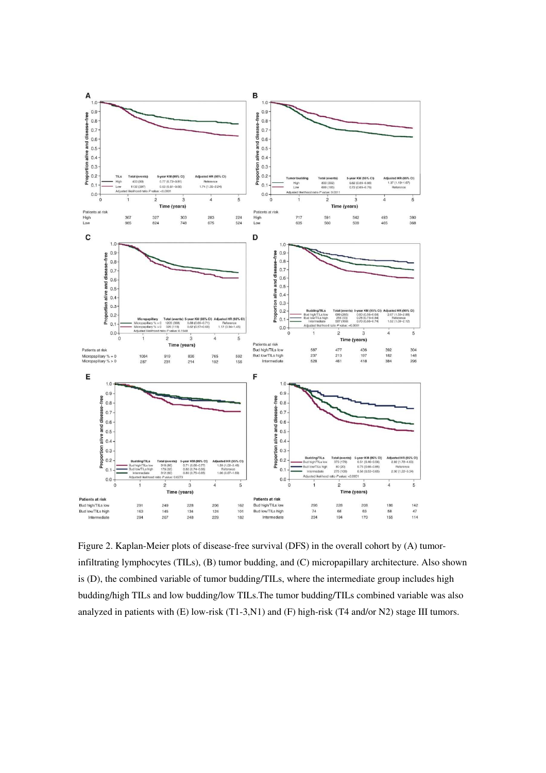

Figure 2. Kaplan-Meier plots of disease-free survival (DFS) in the overall cohort by (A) tumorinfiltrating lymphocytes (TILs), (B) tumor budding, and (C) micropapillary architecture. Also shown is (D), the combined variable of tumor budding/TILs, where the intermediate group includes high budding/high TILs and low budding/low TILs.The tumor budding/TILs combined variable was also analyzed in patients with (E) low-risk (T1-3,N1) and (F) high-risk (T4 and/or N2) stage III tumors.